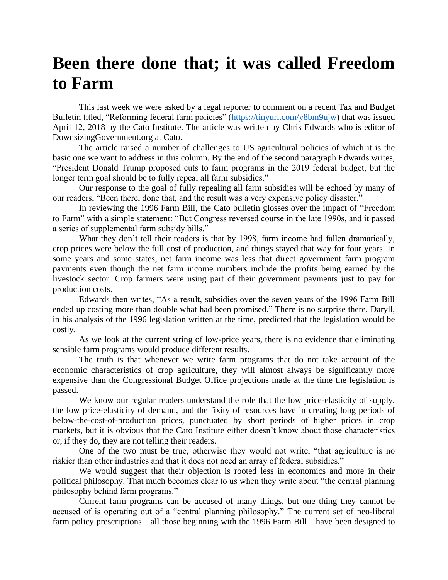## **Been there done that; it was called Freedom to Farm**

This last week we were asked by a legal reporter to comment on a recent Tax and Budget Bulletin titled, "Reforming federal farm policies" [\(https://tinyurl.com/y8bm9ujw\)](https://tinyurl.com/y8bm9ujw) that was issued April 12, 2018 by the Cato Institute. The article was written by Chris Edwards who is editor of DownsizingGovernment.org at Cato.

The article raised a number of challenges to US agricultural policies of which it is the basic one we want to address in this column. By the end of the second paragraph Edwards writes, "President Donald Trump proposed cuts to farm programs in the 2019 federal budget, but the longer term goal should be to fully repeal all farm subsidies."

Our response to the goal of fully repealing all farm subsidies will be echoed by many of our readers, "Been there, done that, and the result was a very expensive policy disaster."

In reviewing the 1996 Farm Bill, the Cato bulletin glosses over the impact of "Freedom to Farm" with a simple statement: "But Congress reversed course in the late 1990s, and it passed a series of supplemental farm subsidy bills."

What they don't tell their readers is that by 1998, farm income had fallen dramatically, crop prices were below the full cost of production, and things stayed that way for four years. In some years and some states, net farm income was less that direct government farm program payments even though the net farm income numbers include the profits being earned by the livestock sector. Crop farmers were using part of their government payments just to pay for production costs.

Edwards then writes, "As a result, subsidies over the seven years of the 1996 Farm Bill ended up costing more than double what had been promised." There is no surprise there. Daryll, in his analysis of the 1996 legislation written at the time, predicted that the legislation would be costly.

As we look at the current string of low-price years, there is no evidence that eliminating sensible farm programs would produce different results.

The truth is that whenever we write farm programs that do not take account of the economic characteristics of crop agriculture, they will almost always be significantly more expensive than the Congressional Budget Office projections made at the time the legislation is passed.

We know our regular readers understand the role that the low price-elasticity of supply, the low price-elasticity of demand, and the fixity of resources have in creating long periods of below-the-cost-of-production prices, punctuated by short periods of higher prices in crop markets, but it is obvious that the Cato Institute either doesn't know about those characteristics or, if they do, they are not telling their readers.

One of the two must be true, otherwise they would not write, "that agriculture is no riskier than other industries and that it does not need an array of federal subsidies."

We would suggest that their objection is rooted less in economics and more in their political philosophy. That much becomes clear to us when they write about "the central planning philosophy behind farm programs."

Current farm programs can be accused of many things, but one thing they cannot be accused of is operating out of a "central planning philosophy." The current set of neo-liberal farm policy prescriptions—all those beginning with the 1996 Farm Bill—have been designed to